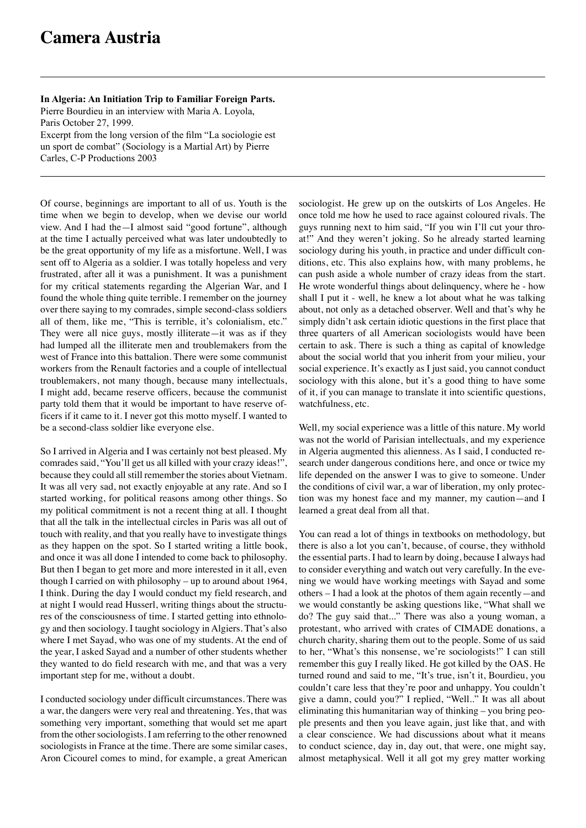Carles, C-P Productions 2003

**In Algeria: An Initiation Trip to Familiar Foreign Parts.** Pierre Bourdieu in an interview with Maria A. Loyola, Paris October 27, 1999. Excerpt from the long version of the film "La sociologie est un sport de combat" (Sociology is a Martial Art) by Pierre

Of course, beginnings are important to all of us. Youth is the time when we begin to develop, when we devise our world view. And I had the—I almost said "good fortune", although at the time I actually perceived what was later undoubtedly to be the great opportunity of my life as a misfortune. Well, I was sent off to Algeria as a soldier. I was totally hopeless and very frustrated, after all it was a punishment. It was a punishment for my critical statements regarding the Algerian War, and I found the whole thing quite terrible. I remember on the journey over there saying to my comrades, simple second-class soldiers all of them, like me, "This is terrible, it's colonialism, etc." They were all nice guys, mostly illiterate—it was as if they had lumped all the illiterate men and troublemakers from the west of France into this battalion. There were some communist workers from the Renault factories and a couple of intellectual troublemakers, not many though, because many intellectuals, I might add, became reserve officers, because the communist party told them that it would be important to have reserve officers if it came to it. I never got this motto myself. I wanted to be a second-class soldier like everyone else.

So I arrived in Algeria and I was certainly not best pleased. My comrades said, "You'll get us all killed with your crazy ideas!", because they could all still remember the stories about Vietnam. It was all very sad, not exactly enjoyable at any rate. And so I started working, for political reasons among other things. So my political commitment is not a recent thing at all. I thought that all the talk in the intellectual circles in Paris was all out of touch with reality, and that you really have to investigate things as they happen on the spot. So I started writing a little book, and once it was all done I intended to come back to philosophy. But then I began to get more and more interested in it all, even though I carried on with philosophy – up to around about 1964, I think. During the day I would conduct my field research, and at night I would read Husserl, writing things about the structures of the consciousness of time. I started getting into ethnology and then sociology. I taught sociology in Algiers. That's also where I met Sayad, who was one of my students. At the end of the year, I asked Sayad and a number of other students whether they wanted to do field research with me, and that was a very important step for me, without a doubt.

I conducted sociology under difficult circumstances. There was a war, the dangers were very real and threatening. Yes, that was something very important, something that would set me apart from the other sociologists. I am referring to the other renowned sociologists in France at the time. There are some similar cases, Aron Cicourel comes to mind, for example, a great American sociologist. He grew up on the outskirts of Los Angeles. He once told me how he used to race against coloured rivals. The guys running next to him said, "If you win I'll cut your throat!" And they weren't joking. So he already started learning sociology during his youth, in practice and under difficult conditions, etc. This also explains how, with many problems, he can push aside a whole number of crazy ideas from the start. He wrote wonderful things about delinquency, where he - how shall I put it - well, he knew a lot about what he was talking about, not only as a detached observer. Well and that's why he simply didn't ask certain idiotic questions in the first place that three quarters of all American sociologists would have been certain to ask. There is such a thing as capital of knowledge about the social world that you inherit from your milieu, your social experience. It's exactly as I just said, you cannot conduct sociology with this alone, but it's a good thing to have some of it, if you can manage to translate it into scientific questions, watchfulness, etc.

Well, my social experience was a little of this nature. My world was not the world of Parisian intellectuals, and my experience in Algeria augmented this alienness. As I said, I conducted research under dangerous conditions here, and once or twice my life depended on the answer I was to give to someone. Under the conditions of civil war, a war of liberation, my only protection was my honest face and my manner, my caution—and I learned a great deal from all that.

You can read a lot of things in textbooks on methodology, but there is also a lot you can't, because, of course, they withhold the essential parts. I had to learn by doing, because I always had to consider everything and watch out very carefully. In the evening we would have working meetings with Sayad and some others – I had a look at the photos of them again recently—and we would constantly be asking questions like, "What shall we do? The guy said that..." There was also a young woman, a protestant, who arrived with crates of CIMADE donations, a church charity, sharing them out to the people. Some of us said to her, "What's this nonsense, we're sociologists!" I can still remember this guy I really liked. He got killed by the OAS. He turned round and said to me, "It's true, isn't it, Bourdieu, you couldn't care less that they're poor and unhappy. You couldn't give a damn, could you?" I replied, "Well.." It was all about eliminating this humanitarian way of thinking – you bring people presents and then you leave again, just like that, and with a clear conscience. We had discussions about what it means to conduct science, day in, day out, that were, one might say, almost metaphysical. Well it all got my grey matter working